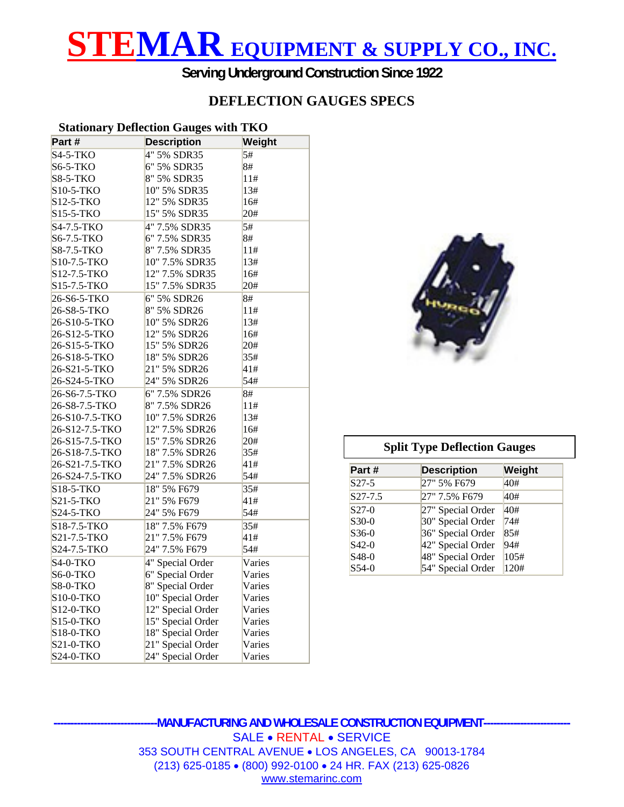# **STEMAR EQUIPMENT & SUPPLY CO., INC.**

**Serving Underground Construction Since 1922** 

### **DEFLECTION GAUGES SPECS**

#### **Stationary Deflection Gauges with TKO**

|                 | $\cdots$           |        |
|-----------------|--------------------|--------|
| Part #          | <b>Description</b> | Weight |
| <b>S4-5-TKO</b> | 4" 5% SDR35        | 5#     |
| <b>S6-5-TKO</b> | 6" 5% SDR35        | 8#     |
| <b>S8-5-TKO</b> | 8" 5% SDR35        | 11#    |
| S10-5-TKO       | 10" 5% SDR35       | 13#    |
| S12-5-TKO       | 12" 5% SDR35       | 16#    |
| S15-5-TKO       | 15" 5% SDR35       | 20#    |
| S4-7.5-TKO      | 4" 7.5% SDR35      | 5#     |
| S6-7.5-TKO      | 6" 7.5% SDR35      | 8#     |
| S8-7.5-TKO      | 8" 7.5% SDR35      | 11#    |
| S10-7.5-TKO     | 10" 7.5% SDR35     | 13#    |
| S12-7.5-TKO     | 12" 7.5% SDR35     | 16#    |
| S15-7.5-TKO     | 15" 7.5% SDR35     | 20#    |
| 26-S6-5-TKO     | 6" 5% SDR26        | 8#     |
| 26-S8-5-TKO     | 8" 5% SDR26        | 11#    |
| 26-S10-5-TKO    | 10" 5% SDR26       | 13#    |
| 26-S12-5-TKO    | 12" 5% SDR26       | 16#    |
| 26-S15-5-TKO    | 15" 5% SDR26       | 20#    |
| 26-S18-5-TKO    | 18" 5% SDR26       | 35#    |
| 26-S21-5-TKO    | 21" 5% SDR26       | 41#    |
| 26-S24-5-TKO    | 24" 5% SDR26       | 54#    |
| 26-S6-7.5-TKO   | 6" 7.5% SDR26      | 8#     |
| 26-S8-7.5-TKO   | 8" 7.5% SDR26      | 11#    |
| 26-S10-7.5-TKO  | 10" 7.5% SDR26     | 13#    |
| 26-S12-7.5-TKO  | 12" 7.5% SDR26     | 16#    |
| 26-S15-7.5-TKO  | 15" 7.5% SDR26     | 20#    |
| 26-S18-7.5-TKO  | 18" 7.5% SDR26     | 35#    |
| 26-S21-7.5-TKO  | 21" 7.5% SDR26     | 41#    |
| 26-S24-7.5-TKO  | 24" 7.5% SDR26     | 54#    |
| S18-5-TKO       | 18" 5% F679        | 35#    |
| S21-5-TKO       | 21" 5% F679        | 41#    |
| S24-5-TKO       | 24" 5% F679        | 54#    |
| S18-7.5-TKO     | 18" 7.5% F679      | 35#    |
| S21-7.5-TKO     | 21" 7.5% F679      | 41#    |
| S24-7.5-TKO     | 24" 7.5% F679      | 54#    |
| $S4-0-TKO$      | 4" Special Order   | Varies |
| S6-0-TKO        | 6" Special Order   | Varies |
| S8-0-TKO        | 8" Special Order   | Varies |
| S10-0-TKO       | 10" Special Order  | Varies |
| S12-0-TKO       | 12" Special Order  | Varies |
| S15-0-TKO       | 15" Special Order  | Varies |
| S18-0-TKO       | 18" Special Order  | Varies |
| S21-0-TKO       | 21" Special Order  | Varies |
| S24-0-TKO       | 24" Special Order  | Varies |



#### **Split Type Deflection Gauges**

| Part #    | <b>Description</b> | Weight |
|-----------|--------------------|--------|
| $S27-5$   | 27" 5% F679        | 40#    |
| $S27-7.5$ | 27" 7.5% F679      | 40#    |
| $S27-0$   | 27" Special Order  | 40#    |
| $S30-0$   | 30" Special Order  | 74#    |
| $S36-0$   | 36" Special Order  | 85#    |
| $S$ 42-0  | 42" Special Order  | 94#    |
| $S48-0$   | 48" Special Order  | 105#   |
| $S54-0$   | 54" Special Order  | 120#   |

**-------------------------------MANUFACTURING AND WHOLESALE CONSTRUCTION EQUIPMENT--------------------------**  SALE • RENTAL • SERVICE 353 SOUTH CENTRAL AVENUE • LOS ANGELES, CA 90013-1784 (213) 625-0185 • (800) 992-0100 • 24 HR. FAX (213) 625-0826 www.stemarinc.com